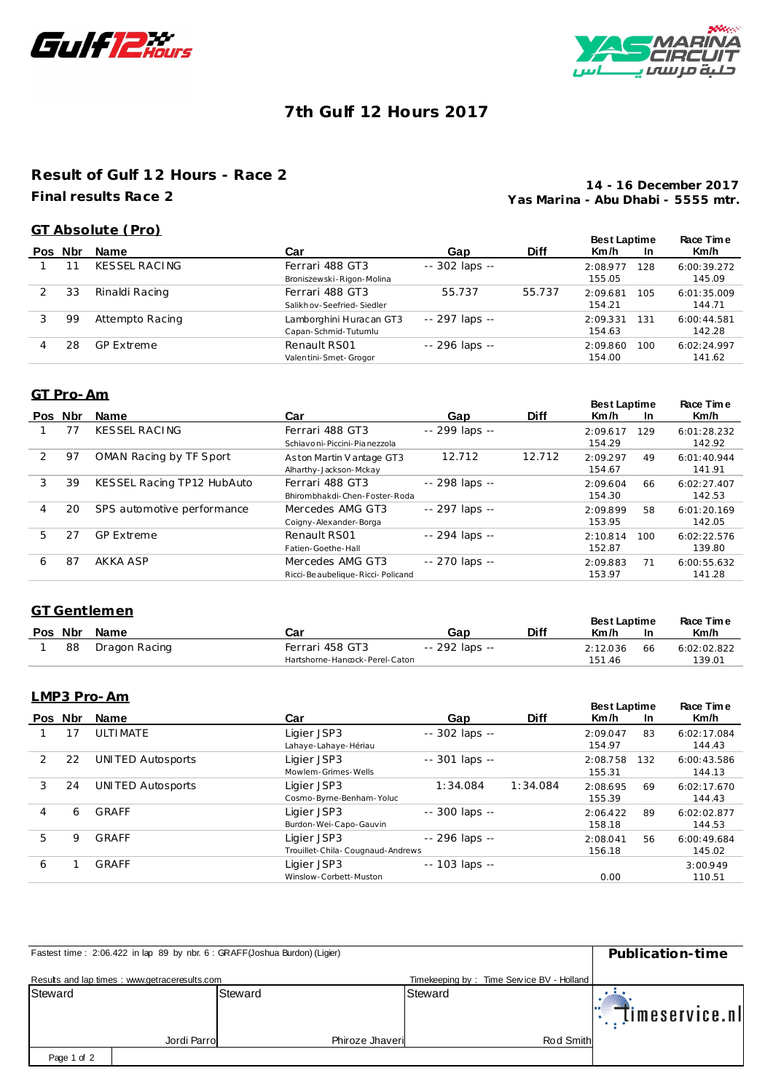



# **7th Gulf 12 Hours 2017**

## **Result of Gulf 12 Hours - Race 2 Final results Race 2**

**Yas Marina - Abu Dhabi - 5555 mtr. 14 - 16 December 2017**

### **GT Absolute (Pro)**

|         |    |                   |                           |                 |             | <b>Best Laptime</b> |     | Race Time   |
|---------|----|-------------------|---------------------------|-----------------|-------------|---------------------|-----|-------------|
| Pos Nbr |    | <b>Name</b>       | Car                       | Gap             | <b>Diff</b> | Km/h                | In  | Km/h        |
|         |    | KESSEL RACING     | Ferrari 488 GT3           | $-302$ laps $-$ |             | 2:08.977            | 128 | 6:00:39.272 |
|         |    |                   | Broniszewski-Rigon-Molina |                 |             | 155.05              |     | 145.09      |
|         | 33 | Rinaldi Racing    | Ferrari 488 GT3           | 55.737          | 55.737      | 2:09.681            | 105 | 6:01:35.009 |
|         |    |                   | Salikhov-Seefried-Siedler |                 |             | 154.21              |     | 144.71      |
|         | 99 | Attempto Racing   | Lamborghini Huracan GT3   | -- 297 laps --  |             | 2:09.331            | 131 | 6:00:44.581 |
|         |    |                   | Capan-Schmid-Tutumlu      |                 |             | 154.63              |     | 142.28      |
|         | 28 | <b>GP Extreme</b> | Renault RS01              | -- 296 laps --  |             | 2:09.860            | 100 | 6:02:24.997 |
|         |    |                   | Valentini-Smet-Grogor     |                 |             | 154.00              |     | 141.62      |

### **GT Pro-Am**

|    | Pos Nbr | <b>Name</b>                | Car                                                   | Gap            | <b>Diff</b> | <b>Best Laptime</b><br>Km/h | <b>In</b> | Race Time<br>Km/h     |
|----|---------|----------------------------|-------------------------------------------------------|----------------|-------------|-----------------------------|-----------|-----------------------|
|    |         | <b>KESSEL RACING</b>       | Ferrari 488 GT3<br>Schiavo ni-Piccini-Pia nezzola     | -- 299 laps -- |             | 2:09.617<br>154.29          | 129       | 6:01:28.232<br>142.92 |
| 2  | 97      | OMAN Racing by TF Sport    | Aston Martin V antage GT3<br>Alharthy-Jackson-Mckay   | 12.712         | 12.712      | 2:09.297<br>154.67          | 49        | 6:01:40.944<br>141.91 |
| 3  | 39      | KESSEL Racing TP12 HubAuto | Ferrari 488 GT3<br>Bhirombhakdi-Chen-Foster-Roda      | -- 298 laps -- |             | 2:09.604<br>154.30          | 66        | 6:02:27.407<br>142.53 |
| 4  | 20      | SPS automotive performance | Mercedes AMG GT3<br>Coigny-Alexander-Borga            | -- 297 laps -- |             | 2:09.899<br>153.95          | 58        | 6:01:20.169<br>142.05 |
| 5. | 27      | <b>GP Extreme</b>          | Renault RS01<br>Fatien-Goethe-Hall                    | -- 294 laps -- |             | 2:10.814<br>152.87          | 100       | 6:02:22.576<br>139.80 |
| 6  | 87      | AKKA ASP                   | Mercedes AMG GT3<br>Ricci-Be aubelique-Ricci-Policand | -- 270 laps -- |             | 2:09.883<br>153.97          | 71        | 6:00:55.632<br>141.28 |

### **GT Gentlemen**

|         | GT Gentiemen  | <b>Best Laptime</b>            |                | Race Time   |          |     |             |
|---------|---------------|--------------------------------|----------------|-------------|----------|-----|-------------|
| Pos Nbr | Name          | Car                            | Gap            | <b>Diff</b> | Km/h     | -In | Km/h        |
| 88      | Dragon Racing | Ferrari 458 GT3                | -- 292 laps -- |             | 2:12.036 | 66  | 6:02:02.822 |
|         |               | Hartshorne-Hancock-Perel-Caton |                |             | 151.46   |     | 139.01      |

### **LMP3 Pro-Am**

|   | Pos Nbr | <b>Name</b>              | Car                              | Gap               | <b>Diff</b> | <b>Best Laptime</b><br>Km/h | <b>In</b> | Race Time<br>Km/h |
|---|---------|--------------------------|----------------------------------|-------------------|-------------|-----------------------------|-----------|-------------------|
|   |         | ULTIMATE                 | Ligier JSP3                      | -- 302 laps --    |             | 2:09.047                    | 83        | 6:02:17.084       |
|   |         |                          | Lahaye-Lahaye-Hériau             |                   |             | 154.97                      |           | 144.43            |
| 2 | 22      | UNITED Autosports        | Ligier JSP3                      | -- 301 laps --    |             | 2:08.758                    | 132       | 6:00:43.586       |
|   |         |                          | Mowlem-Grimes-Wells              |                   |             | 155.31                      |           | 144.13            |
| 3 | 24      | <b>UNITED Autosports</b> | Ligier JSP3                      | 1:34.084          | 1:34.084    | 2:08.695                    | 69        | 6:02:17.670       |
|   |         |                          | Cosmo-Byrne-Benham-Yoluc         |                   |             | 155.39                      |           | 144.43            |
| 4 | 6       | GRAFF                    | Ligier JSP3                      | -- 300 laps --    |             | 2:06.422                    | 89        | 6:02:02.877       |
|   |         |                          | Burdon-Wei-Capo-Gauvin           |                   |             | 158.18                      |           | 144.53            |
| 5 | 9       | GRAFF                    | Ligier JSP3                      | -- 296 laps --    |             | 2:08.041                    | 56        | 6:00:49.684       |
|   |         |                          | Trouillet-Chila-Cougnaud-Andrews |                   |             | 156.18                      |           | 145.02            |
| 6 |         | GRAFF                    | Ligier JSP3                      | $- 103$ laps $- $ |             |                             |           | 3:00.949          |
|   |         |                          | Winslow-Corbett-Muston           |                   |             | 0.00                        |           | 110.51            |

| Fastest time: 2:06.422 in lap 89 by nbr. 6 : GRAFF(Joshua Burdon) (Ligier) | Publication-time                              |                 |                                           |                            |
|----------------------------------------------------------------------------|-----------------------------------------------|-----------------|-------------------------------------------|----------------------------|
|                                                                            | Results and lap times: www.getraceresults.com |                 | Timekeeping by: Time Service BV - Holland |                            |
| Steward                                                                    |                                               | Steward         | Steward                                   | $\mathbb{T}$ imeservice.nl |
|                                                                            | Jordi Parro                                   | Phiroze Jhaveri | Rod Smith                                 |                            |
| Page 1 of 2                                                                |                                               |                 |                                           |                            |